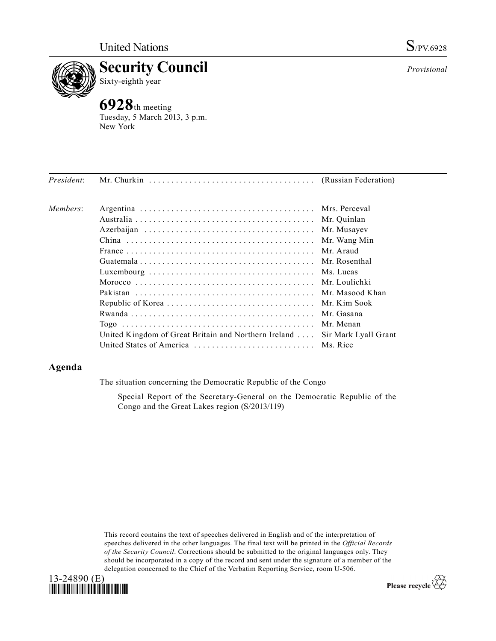

**Example 3 Security Council**<br>Sixty-eighth year Sixty-eighth year

**6928**th meeting Tuesday, 5 March 2013, 3 p.m. New York

| Members: |                                                                            |               |
|----------|----------------------------------------------------------------------------|---------------|
|          |                                                                            |               |
|          |                                                                            | Mr. Musayev   |
|          |                                                                            | Mr. Wang Min  |
|          |                                                                            | Mr Araud      |
|          |                                                                            | Mr. Rosenthal |
|          |                                                                            |               |
|          |                                                                            |               |
|          |                                                                            |               |
|          |                                                                            |               |
|          |                                                                            | Mr. Gasana    |
|          |                                                                            | Mr. Menan     |
|          | United Kingdom of Great Britain and Northern Ireland  Sir Mark Lyall Grant |               |
|          | United States of America  Ms. Rice                                         |               |

*President*: Mr. Churkin . . . . . . . . . . . . . . . . . . . . . . . . . . . . . . . . . . . . . (Russian Federation)

## **Agenda**

The situation concerning the Democratic Republic of the Congo

Special Report of the Secretary-General on the Democratic Republic of the Congo and the Great Lakes region (S/2013/119)

This record contains the text of speeches delivered in English and of the interpretation of speeches delivered in the other languages. The final text will be printed in the *Official Records of the Security Council*. Corrections should be submitted to the original languages only. They should be incorporated in a copy of the record and sent under the signature of a member of the delegation concerned to the Chief of the Verbatim Reporting Service, room U-506.





*Provisional*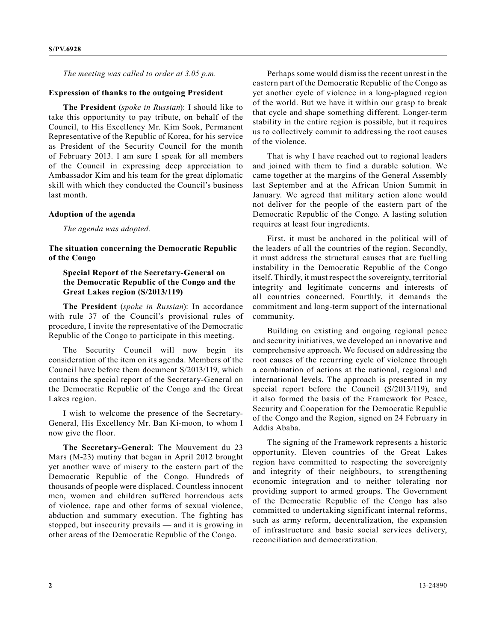*The meeting was called to order at 3.05 p.m.*

## **Expression of thanks to the outgoing President**

**The President** (*spoke in Russian*): I should like to take this opportunity to pay tribute, on behalf of the Council, to His Excellency Mr. Kim Sook, Permanent Representative of the Republic of Korea, for his service as President of the Security Council for the month of February 2013. I am sure I speak for all members of the Council in expressing deep appreciation to Ambassador Kim and his team for the great diplomatic skill with which they conducted the Council's business last month.

## **Adoption of the agenda**

*The agenda was adopted.*

**The situation concerning the Democratic Republic of the Congo**

## **Special Report of the Secretary-General on the Democratic Republic of the Congo and the Great Lakes region (S/2013/119)**

**The President** (*spoke in Russian*): In accordance with rule 37 of the Council's provisional rules of procedure, I invite the representative of the Democratic Republic of the Congo to participate in this meeting.

The Security Council will now begin its consideration of the item on its agenda. Members of the Council have before them document S/2013/119, which contains the special report of the Secretary-General on the Democratic Republic of the Congo and the Great Lakes region.

I wish to welcome the presence of the Secretary-General, His Excellency Mr. Ban Ki-moon, to whom I now give the floor.

**The Secretary-General**: The Mouvement du 23 Mars (M-23) mutiny that began in April 2012 brought yet another wave of misery to the eastern part of the Democratic Republic of the Congo. Hundreds of thousands of people were displaced. Countless innocent men, women and children suffered horrendous acts of violence, rape and other forms of sexual violence, abduction and summary execution. The fighting has stopped, but insecurity prevails — and it is growing in other areas of the Democratic Republic of the Congo.

Perhaps some would dismiss the recent unrest in the eastern part of the Democratic Republic of the Congo as yet another cycle of violence in a long-plagued region of the world. But we have it within our grasp to break that cycle and shape something different. Longer-term stability in the entire region is possible, but it requires us to collectively commit to addressing the root causes of the violence.

That is why I have reached out to regional leaders and joined with them to find a durable solution. We came together at the margins of the General Assembly last September and at the African Union Summit in January. We agreed that military action alone would not deliver for the people of the eastern part of the Democratic Republic of the Congo. A lasting solution requires at least four ingredients.

First, it must be anchored in the political will of the leaders of all the countries of the region. Secondly, it must address the structural causes that are fuelling instability in the Democratic Republic of the Congo itself. Thirdly, it must respect the sovereignty, territorial integrity and legitimate concerns and interests of all countries concerned. Fourthly, it demands the commitment and long-term support of the international community.

Building on existing and ongoing regional peace and security initiatives, we developed an innovative and comprehensive approach. We focused on addressing the root causes of the recurring cycle of violence through a combination of actions at the national, regional and international levels. The approach is presented in my special report before the Council (S/2013/119), and it also formed the basis of the Framework for Peace, Security and Cooperation for the Democratic Republic of the Congo and the Region, signed on 24 February in Addis Ababa.

The signing of the Framework represents a historic opportunity. Eleven countries of the Great Lakes region have committed to respecting the sovereignty and integrity of their neighbours, to strengthening economic integration and to neither tolerating nor providing support to armed groups. The Government of the Democratic Republic of the Congo has also committed to undertaking significant internal reforms, such as army reform, decentralization, the expansion of infrastructure and basic social services delivery, reconciliation and democratization.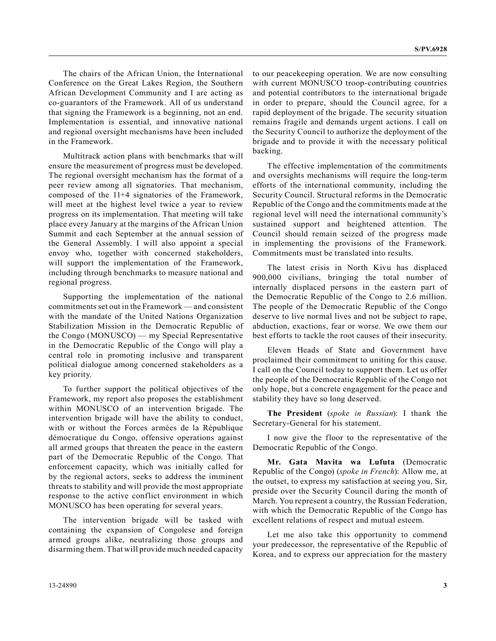The chairs of the African Union, the International Conference on the Great Lakes Region, the Southern African Development Community and I are acting as co-guarantors of the Framework. All of us understand that signing the Framework is a beginning, not an end. Implementation is essential, and innovative national and regional oversight mechanisms have been included in the Framework.

Multitrack action plans with benchmarks that will ensure the measurement of progress must be developed. The regional oversight mechanism has the format of a peer review among all signatories. That mechanism, composed of the 11+4 signatories of the Framework, will meet at the highest level twice a year to review progress on its implementation. That meeting will take place every January at the margins of the African Union Summit and each September at the annual session of the General Assembly. I will also appoint a special envoy who, together with concerned stakeholders, will support the implementation of the Framework, including through benchmarks to measure national and regional progress.

Supporting the implementation of the national commitments set out in the Framework — and consistent with the mandate of the United Nations Organization Stabilization Mission in the Democratic Republic of the Congo (MONUSCO) — my Special Representative in the Democratic Republic of the Congo will play a central role in promoting inclusive and transparent political dialogue among concerned stakeholders as a key priority.

To further support the political objectives of the Framework, my report also proposes the establishment within MONUSCO of an intervention brigade. The intervention brigade will have the ability to conduct, with or without the Forces armées de la République démocratique du Congo, offensive operations against all armed groups that threaten the peace in the eastern part of the Democratic Republic of the Congo. That enforcement capacity, which was initially called for by the regional actors, seeks to address the imminent threats to stability and will provide the most appropriate response to the active conflict environment in which MONUSCO has been operating for several years.

The intervention brigade will be tasked with containing the expansion of Congolese and foreign armed groups alike, neutralizing those groups and disarming them. That will provide much needed capacity

to our peacekeeping operation. We are now consulting with current MONUSCO troop-contributing countries and potential contributors to the international brigade in order to prepare, should the Council agree, for a rapid deployment of the brigade. The security situation remains fragile and demands urgent actions. I call on the Security Council to authorize the deployment of the brigade and to provide it with the necessary political backing.

The effective implementation of the commitments and oversights mechanisms will require the long-term efforts of the international community, including the Security Council. Structural reforms in the Democratic Republic of the Congo and the commitments made at the regional level will need the international community's sustained support and heightened attention. The Council should remain seized of the progress made in implementing the provisions of the Framework. Commitments must be translated into results.

The latest crisis in North Kivu has displaced 900,000 civilians, bringing the total number of internally displaced persons in the eastern part of the Democratic Republic of the Congo to 2.6 million. The people of the Democratic Republic of the Congo deserve to live normal lives and not be subject to rape, abduction, exactions, fear or worse. We owe them our best efforts to tackle the root causes of their insecurity.

Eleven Heads of State and Government have proclaimed their commitment to uniting for this cause. I call on the Council today to support them. Let us offer the people of the Democratic Republic of the Congo not only hope, but a concrete engagement for the peace and stability they have so long deserved.

**The President** (*spoke in Russian*): I thank the Secretary-General for his statement.

I now give the floor to the representative of the Democratic Republic of the Congo.

**Mr. Gata Mavita wa Lufuta** (Democratic Republic of the Congo) (*spoke in French*): Allow me, at the outset, to express my satisfaction at seeing you, Sir, preside over the Security Council during the month of March. You represent a country, the Russian Federation, with which the Democratic Republic of the Congo has excellent relations of respect and mutual esteem.

Let me also take this opportunity to commend your predecessor, the representative of the Republic of Korea, and to express our appreciation for the mastery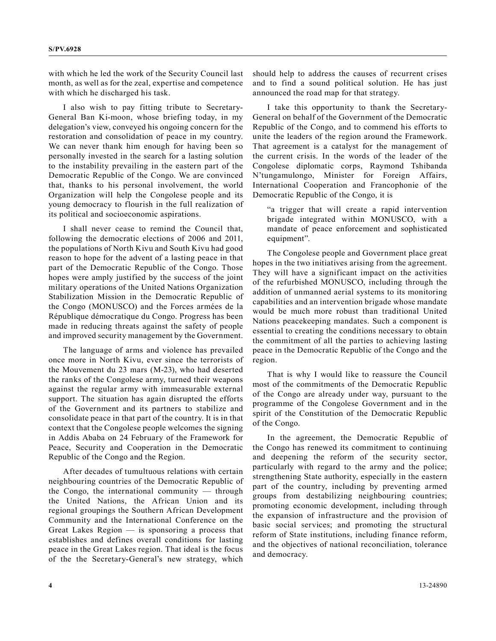with which he led the work of the Security Council last month, as well as for the zeal, expertise and competence with which he discharged his task.

I also wish to pay fitting tribute to Secretary-General Ban Ki-moon, whose briefing today, in my delegation's view, conveyed his ongoing concern for the restoration and consolidation of peace in my country. We can never thank him enough for having been so personally invested in the search for a lasting solution to the instability prevailing in the eastern part of the Democratic Republic of the Congo. We are convinced that, thanks to his personal involvement, the world Organization will help the Congolese people and its young democracy to flourish in the full realization of its political and socioeconomic aspirations.

I shall never cease to remind the Council that, following the democratic elections of 2006 and 2011, the populations of North Kivu and South Kivu had good reason to hope for the advent of a lasting peace in that part of the Democratic Republic of the Congo. Those hopes were amply justified by the success of the joint military operations of the United Nations Organization Stabilization Mission in the Democratic Republic of the Congo (MONUSCO) and the Forces armées de la République démocratique du Congo. Progress has been made in reducing threats against the safety of people and improved security management by the Government.

The language of arms and violence has prevailed once more in North Kivu, ever since the terrorists of the Mouvement du 23 mars (M-23), who had deserted the ranks of the Congolese army, turned their weapons against the regular army with immeasurable external support. The situation has again disrupted the efforts of the Government and its partners to stabilize and consolidate peace in that part of the country. It is in that context that the Congolese people welcomes the signing in Addis Ababa on 24 February of the Framework for Peace, Security and Cooperation in the Democratic Republic of the Congo and the Region.

After decades of tumultuous relations with certain neighbouring countries of the Democratic Republic of the Congo, the international community — through the United Nations, the African Union and its regional groupings the Southern African Development Community and the International Conference on the Great Lakes Region — is sponsoring a process that establishes and defines overall conditions for lasting peace in the Great Lakes region. That ideal is the focus of the the Secretary-General's new strategy, which

should help to address the causes of recurrent crises and to find a sound political solution. He has just announced the road map for that strategy.

I take this opportunity to thank the Secretary-General on behalf of the Government of the Democratic Republic of the Congo, and to commend his efforts to unite the leaders of the region around the Framework. That agreement is a catalyst for the management of the current crisis. In the words of the leader of the Congolese diplomatic corps, Raymond Tshibanda N'tungamulongo, Minister for Foreign Affairs, International Cooperation and Francophonie of the Democratic Republic of the Congo, it is

"a trigger that will create a rapid intervention brigade integrated within MONUSCO, with a mandate of peace enforcement and sophisticated equipment".

The Congolese people and Government place great hopes in the two initiatives arising from the agreement. They will have a significant impact on the activities of the refurbished MONUSCO, including through the addition of unmanned aerial systems to its monitoring capabilities and an intervention brigade whose mandate would be much more robust than traditional United Nations peacekeeping mandates. Such a component is essential to creating the conditions necessary to obtain the commitment of all the parties to achieving lasting peace in the Democratic Republic of the Congo and the region.

That is why I would like to reassure the Council most of the commitments of the Democratic Republic of the Congo are already under way, pursuant to the programme of the Congolese Government and in the spirit of the Constitution of the Democratic Republic of the Congo.

In the agreement, the Democratic Republic of the Congo has renewed its commitment to continuing and deepening the reform of the security sector, particularly with regard to the army and the police; strengthening State authority, especially in the eastern part of the country, including by preventing armed groups from destabilizing neighbouring countries; promoting economic development, including through the expansion of infrastructure and the provision of basic social services; and promoting the structural reform of State institutions, including finance reform, and the objectives of national reconciliation, tolerance and democracy.